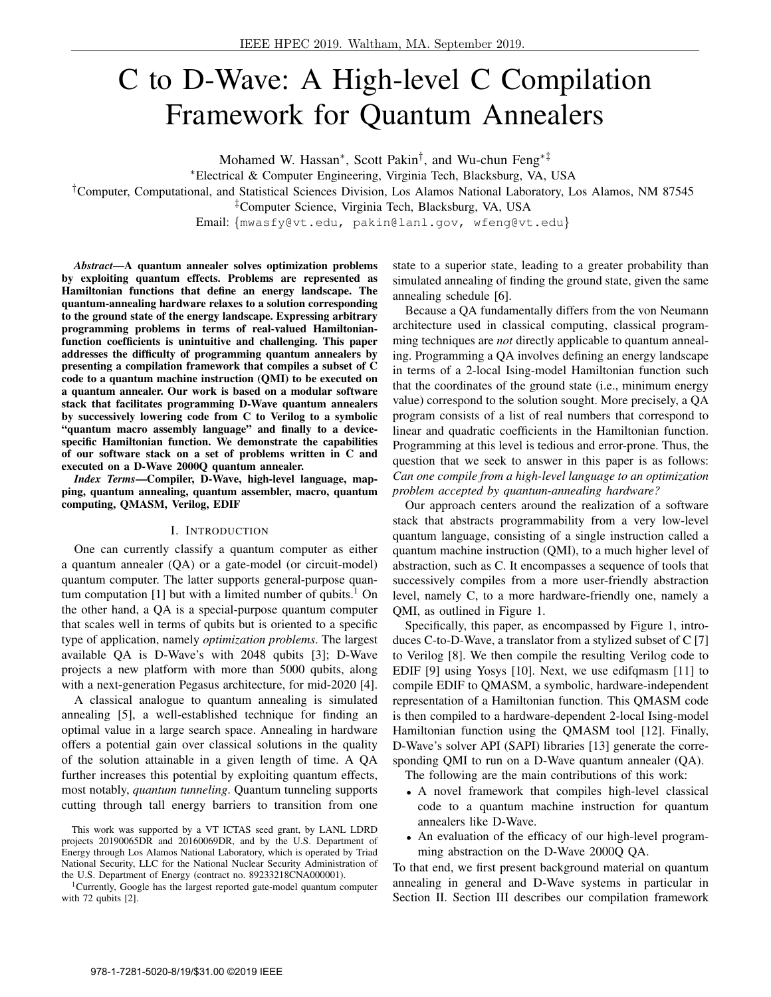# C to D-Wave: A High-level C Compilation Framework for Quantum Annealers

Mohamed W. Hassan<sup>∗</sup> , Scott Pakin† , and Wu-chun Feng∗‡

<sup>∗</sup>Electrical & Computer Engineering, Virginia Tech, Blacksburg, VA, USA

†Computer, Computational, and Statistical Sciences Division, Los Alamos National Laboratory, Los Alamos, NM 87545

‡Computer Science, Virginia Tech, Blacksburg, VA, USA

Email: {mwasfy@vt.edu, pakin@lanl.gov, wfeng@vt.edu}

*Abstract*—A quantum annealer solves optimization problems by exploiting quantum effects. Problems are represented as Hamiltonian functions that define an energy landscape. The quantum-annealing hardware relaxes to a solution corresponding to the ground state of the energy landscape. Expressing arbitrary programming problems in terms of real-valued Hamiltonianfunction coefficients is unintuitive and challenging. This paper addresses the difficulty of programming quantum annealers by presenting a compilation framework that compiles a subset of C code to a quantum machine instruction (QMI) to be executed on a quantum annealer. Our work is based on a modular software stack that facilitates programming D-Wave quantum annealers by successively lowering code from C to Verilog to a symbolic "quantum macro assembly language" and finally to a devicespecific Hamiltonian function. We demonstrate the capabilities of our software stack on a set of problems written in C and executed on a D-Wave 2000Q quantum annealer.

*Index Terms*—Compiler, D-Wave, high-level language, mapping, quantum annealing, quantum assembler, macro, quantum computing, QMASM, Verilog, EDIF

#### I. INTRODUCTION

One can currently classify a quantum computer as either a quantum annealer (QA) or a gate-model (or circuit-model) quantum computer. The latter supports general-purpose quantum computation  $[1]$  but with a limited number of qubits.<sup>1</sup> On the other hand, a QA is a special-purpose quantum computer that scales well in terms of qubits but is oriented to a specific type of application, namely *optimization problems*. The largest available QA is D-Wave's with 2048 qubits [3]; D-Wave projects a new platform with more than 5000 qubits, along with a next-generation Pegasus architecture, for mid-2020 [4].

A classical analogue to quantum annealing is simulated annealing [5], a well-established technique for finding an optimal value in a large search space. Annealing in hardware offers a potential gain over classical solutions in the quality of the solution attainable in a given length of time. A QA further increases this potential by exploiting quantum effects, most notably, *quantum tunneling*. Quantum tunneling supports cutting through tall energy barriers to transition from one state to a superior state, leading to a greater probability than simulated annealing of finding the ground state, given the same annealing schedule [6].

Because a QA fundamentally differs from the von Neumann architecture used in classical computing, classical programming techniques are *not* directly applicable to quantum annealing. Programming a QA involves defining an energy landscape in terms of a 2-local Ising-model Hamiltonian function such that the coordinates of the ground state (i.e., minimum energy value) correspond to the solution sought. More precisely, a QA program consists of a list of real numbers that correspond to linear and quadratic coefficients in the Hamiltonian function. Programming at this level is tedious and error-prone. Thus, the question that we seek to answer in this paper is as follows: *Can one compile from a high-level language to an optimization problem accepted by quantum-annealing hardware?*

Our approach centers around the realization of a software stack that abstracts programmability from a very low-level quantum language, consisting of a single instruction called a quantum machine instruction (QMI), to a much higher level of abstraction, such as C. It encompasses a sequence of tools that successively compiles from a more user-friendly abstraction level, namely C, to a more hardware-friendly one, namely a QMI, as outlined in Figure 1.

Specifically, this paper, as encompassed by Figure 1, introduces C-to-D-Wave, a translator from a stylized subset of C [7] to Verilog [8]. We then compile the resulting Verilog code to EDIF [9] using Yosys [10]. Next, we use edifqmasm [11] to compile EDIF to QMASM, a symbolic, hardware-independent representation of a Hamiltonian function. This QMASM code is then compiled to a hardware-dependent 2-local Ising-model Hamiltonian function using the QMASM tool [12]. Finally, D-Wave's solver API (SAPI) libraries [13] generate the corresponding QMI to run on a D-Wave quantum annealer (QA).

The following are the main contributions of this work:

- A novel framework that compiles high-level classical code to a quantum machine instruction for quantum annealers like D-Wave.
- An evaluation of the efficacy of our high-level programming abstraction on the D-Wave 2000Q QA.

To that end, we first present background material on quantum annealing in general and D-Wave systems in particular in Section II. Section III describes our compilation framework

This work was supported by a VT ICTAS seed grant, by LANL LDRD projects 20190065DR and 20160069DR, and by the U.S. Department of Energy through Los Alamos National Laboratory, which is operated by Triad National Security, LLC for the National Nuclear Security Administration of the U.S. Department of Energy (contract no. 89233218CNA000001).

<sup>&</sup>lt;sup>1</sup>Currently, Google has the largest reported gate-model quantum computer with 72 qubits [2].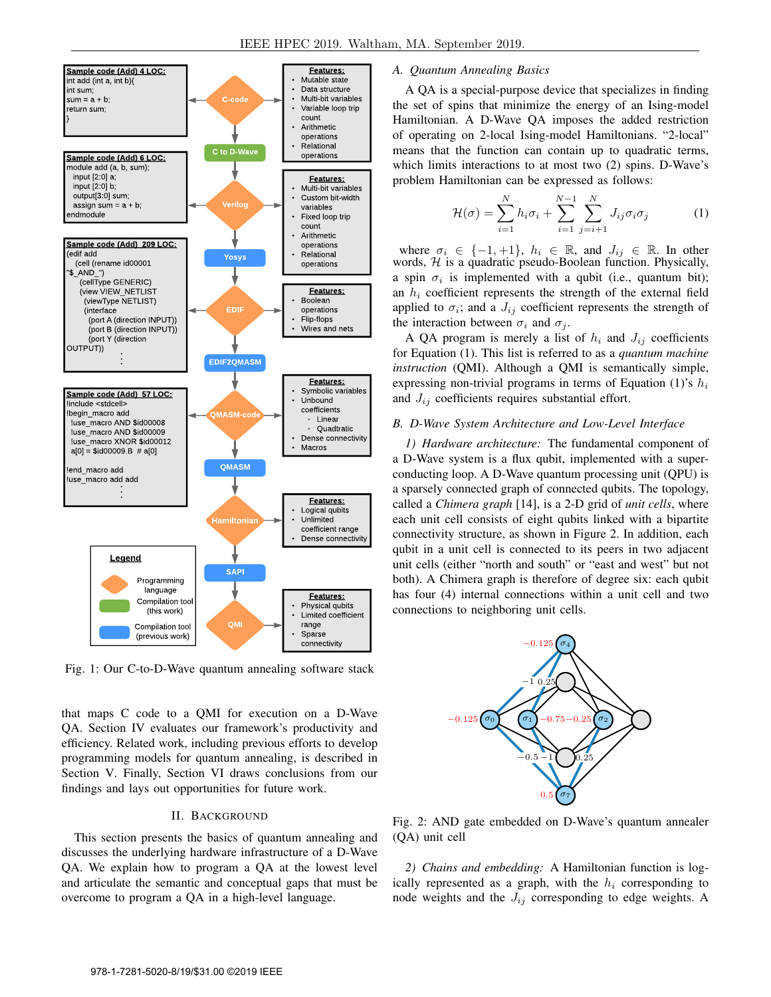

Fig. 1: Our C-to-D-Wave quantum annealing software stack

that maps C code to a QMI for execution on a D-Wave QA. Section IV evaluates our framework's productivity and efficiency. Related work, including previous efforts to develop programming models for quantum annealing, is described in Section V. Finally, Section VI draws conclusions from our findings and lays out opportunities for future work.

## II. BACKGROUND

This section presents the basics of quantum annealing and discusses the underlying hardware infrastructure of a D-Wave QA. We explain how to program a QA at the lowest level and articulate the semantic and conceptual gaps that must be overcome to program a QA in a high-level language.

## *A. Quantum Annealing Basics*

A QA is a special-purpose device that specializes in finding the set of spins that minimize the energy of an Ising-model Hamiltonian. A D-Wave QA imposes the added restriction of operating on 2-local Ising-model Hamiltonians. "2-local" means that the function can contain up to quadratic terms, which limits interactions to at most two (2) spins. D-Wave's problem Hamiltonian can be expressed as follows:

$$
\mathcal{H}(\sigma) = \sum_{i=1}^{N} h_i \sigma_i + \sum_{i=1}^{N-1} \sum_{j=i+1}^{N} J_{ij} \sigma_i \sigma_j \tag{1}
$$

where  $\sigma_i \in \{-1, +1\}$ ,  $h_i \in \mathbb{R}$ , and  $J_{ij} \in \mathbb{R}$ . In other words,  $H$  is a quadratic pseudo-Boolean function. Physically, a spin  $\sigma_i$  is implemented with a qubit (i.e., quantum bit); an  $h_i$  coefficient represents the strength of the external field applied to  $\sigma_i$ ; and a  $J_{ij}$  coefficient represents the strength of the interaction between  $\sigma_i$  and  $\sigma_j$ .

A QA program is merely a list of  $h_i$  and  $J_{ij}$  coefficients for Equation (1). This list is referred to as a *quantum machine instruction* (QMI). Although a QMI is semantically simple, expressing non-trivial programs in terms of Equation (1)'s  $h_i$ and  $J_{ij}$  coefficients requires substantial effort.

#### *B. D-Wave System Architecture and Low-Level Interface*

*1) Hardware architecture:* The fundamental component of a D-Wave system is a flux qubit, implemented with a superconducting loop. A D-Wave quantum processing unit (QPU) is a sparsely connected graph of connected qubits. The topology, called a *Chimera graph* [14], is a 2-D grid of *unit cells*, where each unit cell consists of eight qubits linked with a bipartite connectivity structure, as shown in Figure 2. In addition, each qubit in a unit cell is connected to its peers in two adjacent unit cells (either "north and south" or "east and west" but not both). A Chimera graph is therefore of degree six: each qubit has four (4) internal connections within a unit cell and two connections to neighboring unit cells.



Fig. 2: AND gate embedded on D-Wave's quantum annealer (QA) unit cell

*2) Chains and embedding:* A Hamiltonian function is logically represented as a graph, with the  $h_i$  corresponding to node weights and the  $J_{ij}$  corresponding to edge weights. A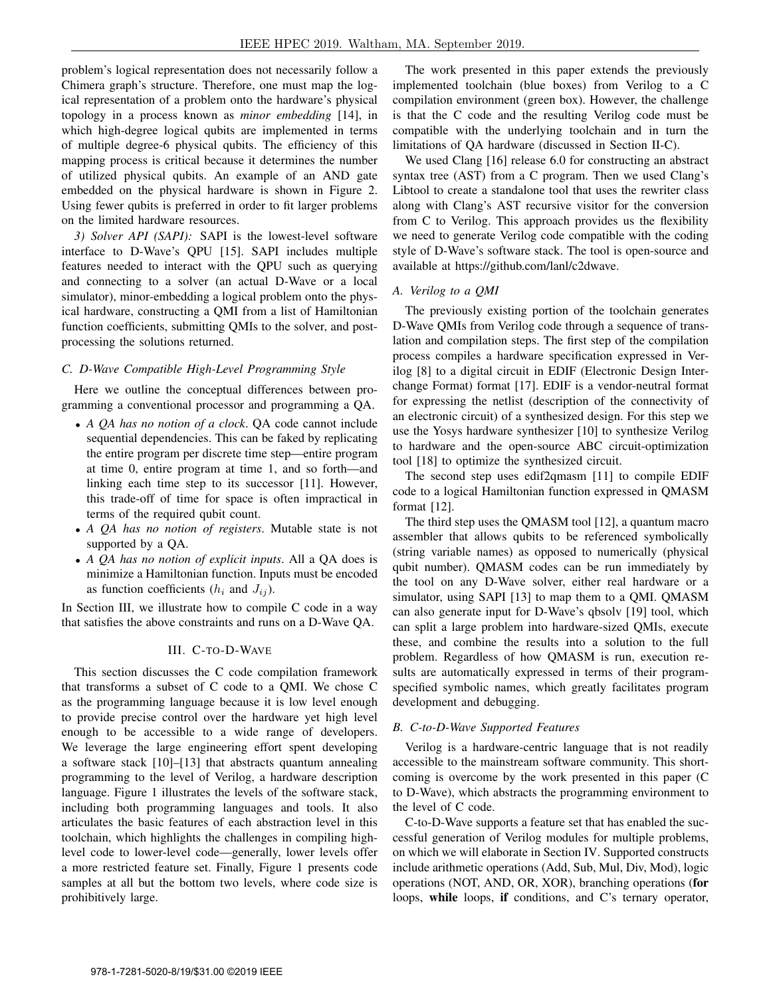problem's logical representation does not necessarily follow a Chimera graph's structure. Therefore, one must map the logical representation of a problem onto the hardware's physical topology in a process known as *minor embedding* [14], in which high-degree logical qubits are implemented in terms of multiple degree-6 physical qubits. The efficiency of this mapping process is critical because it determines the number of utilized physical qubits. An example of an AND gate embedded on the physical hardware is shown in Figure 2. Using fewer qubits is preferred in order to fit larger problems on the limited hardware resources.

*3) Solver API (SAPI):* SAPI is the lowest-level software interface to D-Wave's QPU [15]. SAPI includes multiple features needed to interact with the QPU such as querying and connecting to a solver (an actual D-Wave or a local simulator), minor-embedding a logical problem onto the physical hardware, constructing a QMI from a list of Hamiltonian function coefficients, submitting QMIs to the solver, and postprocessing the solutions returned.

## *C. D-Wave Compatible High-Level Programming Style*

Here we outline the conceptual differences between programming a conventional processor and programming a QA.

- *A QA has no notion of a clock*. QA code cannot include sequential dependencies. This can be faked by replicating the entire program per discrete time step—entire program at time 0, entire program at time 1, and so forth—and linking each time step to its successor [11]. However, this trade-off of time for space is often impractical in terms of the required qubit count.
- *A QA has no notion of registers*. Mutable state is not supported by a QA.
- *A QA has no notion of explicit inputs*. All a QA does is minimize a Hamiltonian function. Inputs must be encoded as function coefficients  $(h_i \text{ and } J_{ij}).$

In Section III, we illustrate how to compile C code in a way that satisfies the above constraints and runs on a D-Wave QA.

#### III. C-TO-D-WAVE

This section discusses the C code compilation framework that transforms a subset of C code to a QMI. We chose C as the programming language because it is low level enough to provide precise control over the hardware yet high level enough to be accessible to a wide range of developers. We leverage the large engineering effort spent developing a software stack [10]–[13] that abstracts quantum annealing programming to the level of Verilog, a hardware description language. Figure 1 illustrates the levels of the software stack, including both programming languages and tools. It also articulates the basic features of each abstraction level in this toolchain, which highlights the challenges in compiling highlevel code to lower-level code—generally, lower levels offer a more restricted feature set. Finally, Figure 1 presents code samples at all but the bottom two levels, where code size is prohibitively large.

The work presented in this paper extends the previously implemented toolchain (blue boxes) from Verilog to a C compilation environment (green box). However, the challenge is that the C code and the resulting Verilog code must be compatible with the underlying toolchain and in turn the limitations of QA hardware (discussed in Section II-C).

We used Clang [16] release 6.0 for constructing an abstract syntax tree (AST) from a C program. Then we used Clang's Libtool to create a standalone tool that uses the rewriter class along with Clang's AST recursive visitor for the conversion from C to Verilog. This approach provides us the flexibility we need to generate Verilog code compatible with the coding style of D-Wave's software stack. The tool is open-source and available at https://github.com/lanl/c2dwave.

#### *A. Verilog to a QMI*

The previously existing portion of the toolchain generates D-Wave QMIs from Verilog code through a sequence of translation and compilation steps. The first step of the compilation process compiles a hardware specification expressed in Verilog [8] to a digital circuit in EDIF (Electronic Design Interchange Format) format [17]. EDIF is a vendor-neutral format for expressing the netlist (description of the connectivity of an electronic circuit) of a synthesized design. For this step we use the Yosys hardware synthesizer [10] to synthesize Verilog to hardware and the open-source ABC circuit-optimization tool [18] to optimize the synthesized circuit.

The second step uses edif2qmasm [11] to compile EDIF code to a logical Hamiltonian function expressed in QMASM format [12].

The third step uses the QMASM tool [12], a quantum macro assembler that allows qubits to be referenced symbolically (string variable names) as opposed to numerically (physical qubit number). QMASM codes can be run immediately by the tool on any D-Wave solver, either real hardware or a simulator, using SAPI [13] to map them to a QMI. QMASM can also generate input for D-Wave's qbsolv [19] tool, which can split a large problem into hardware-sized QMIs, execute these, and combine the results into a solution to the full problem. Regardless of how QMASM is run, execution results are automatically expressed in terms of their programspecified symbolic names, which greatly facilitates program development and debugging.

## *B. C-to-D-Wave Supported Features*

Verilog is a hardware-centric language that is not readily accessible to the mainstream software community. This shortcoming is overcome by the work presented in this paper (C to D-Wave), which abstracts the programming environment to the level of C code.

C-to-D-Wave supports a feature set that has enabled the successful generation of Verilog modules for multiple problems, on which we will elaborate in Section IV. Supported constructs include arithmetic operations (Add, Sub, Mul, Div, Mod), logic operations (NOT, AND, OR, XOR), branching operations (for loops, while loops, if conditions, and C's ternary operator,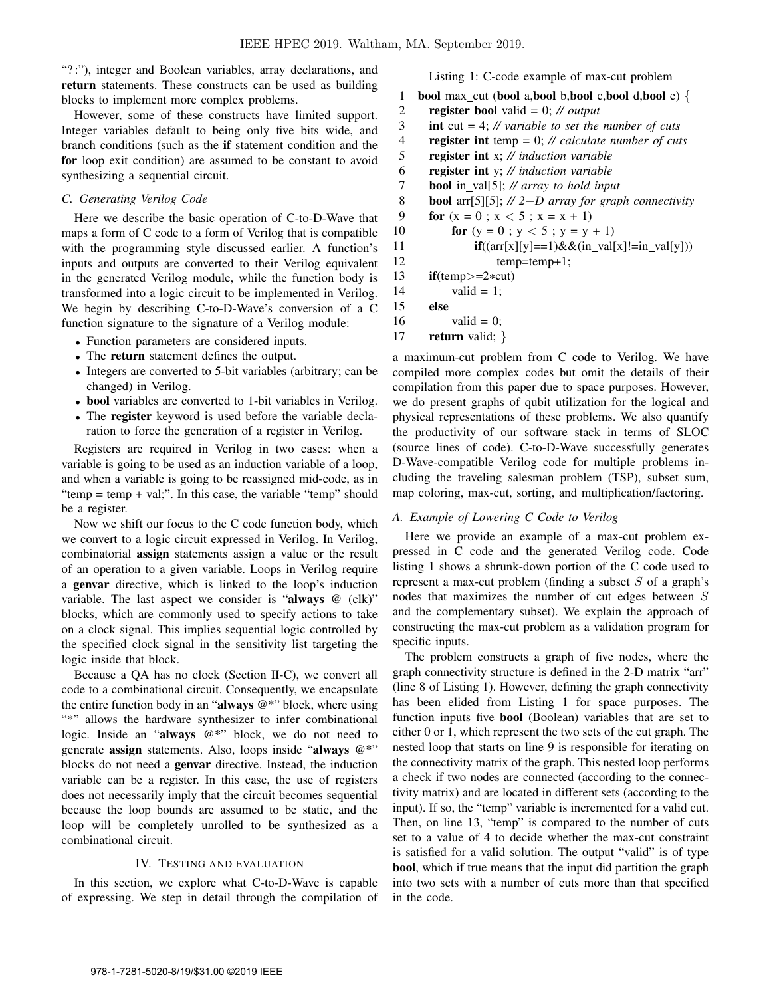"? :"), integer and Boolean variables, array declarations, and return statements. These constructs can be used as building blocks to implement more complex problems.

However, some of these constructs have limited support. Integer variables default to being only five bits wide, and branch conditions (such as the if statement condition and the for loop exit condition) are assumed to be constant to avoid synthesizing a sequential circuit.

# *C. Generating Verilog Code*

Here we describe the basic operation of C-to-D-Wave that maps a form of C code to a form of Verilog that is compatible with the programming style discussed earlier. A function's inputs and outputs are converted to their Verilog equivalent in the generated Verilog module, while the function body is transformed into a logic circuit to be implemented in Verilog. We begin by describing C-to-D-Wave's conversion of a C function signature to the signature of a Verilog module:

- Function parameters are considered inputs.
- The return statement defines the output.
- Integers are converted to 5-bit variables (arbitrary; can be changed) in Verilog.
- bool variables are converted to 1-bit variables in Verilog.
- The register keyword is used before the variable declaration to force the generation of a register in Verilog.

Registers are required in Verilog in two cases: when a variable is going to be used as an induction variable of a loop, and when a variable is going to be reassigned mid-code, as in "temp = temp + val;". In this case, the variable "temp" should be a register.

Now we shift our focus to the C code function body, which we convert to a logic circuit expressed in Verilog. In Verilog, combinatorial assign statements assign a value or the result of an operation to a given variable. Loops in Verilog require a genvar directive, which is linked to the loop's induction variable. The last aspect we consider is "always @ (clk)" blocks, which are commonly used to specify actions to take on a clock signal. This implies sequential logic controlled by the specified clock signal in the sensitivity list targeting the logic inside that block.

Because a QA has no clock (Section II-C), we convert all code to a combinational circuit. Consequently, we encapsulate the entire function body in an "always  $@^{**}$ " block, where using "\*" allows the hardware synthesizer to infer combinational logic. Inside an "always  $@^{*}$ " block, we do not need to generate assign statements. Also, loops inside "always @\*" blocks do not need a genvar directive. Instead, the induction variable can be a register. In this case, the use of registers does not necessarily imply that the circuit becomes sequential because the loop bounds are assumed to be static, and the loop will be completely unrolled to be synthesized as a combinational circuit.

## IV. TESTING AND EVALUATION

In this section, we explore what C-to-D-Wave is capable of expressing. We step in detail through the compilation of

Listing 1: C-code example of max-cut problem 1 bool max\_cut (bool a,bool b,bool c,bool d,bool  $e$ ) { register bool valid = 0; *// output* int cut = 4; *// variable to set the number of cuts* register int temp = 0; *// calculate number of cuts* register int x; *// induction variable* register int y; *// induction variable* bool in val[5]; *// array to hold input* bool arr[5][5]; *// 2*−*D array for graph connectivity* 9 for  $(x = 0; x < 5; x = x + 1)$ **for**  $(y = 0; y < 5; y = y + 1)$  $\mathbf{if}((\ar{x}][y]=1)\&\&(\infty)[x]:=\infty]$ 12 temp=temp+1; 13 if(temp>=2\*cut)<br>14 valid = 1; valid  $= 1$ ; 15 else valid = 0; **return** valid; }

a maximum-cut problem from C code to Verilog. We have compiled more complex codes but omit the details of their compilation from this paper due to space purposes. However, we do present graphs of qubit utilization for the logical and physical representations of these problems. We also quantify the productivity of our software stack in terms of SLOC (source lines of code). C-to-D-Wave successfully generates D-Wave-compatible Verilog code for multiple problems including the traveling salesman problem (TSP), subset sum, map coloring, max-cut, sorting, and multiplication/factoring.

## *A. Example of Lowering C Code to Verilog*

Here we provide an example of a max-cut problem expressed in C code and the generated Verilog code. Code listing 1 shows a shrunk-down portion of the C code used to represent a max-cut problem (finding a subset  $S$  of a graph's nodes that maximizes the number of cut edges between S and the complementary subset). We explain the approach of constructing the max-cut problem as a validation program for specific inputs.

The problem constructs a graph of five nodes, where the graph connectivity structure is defined in the 2-D matrix "arr" (line 8 of Listing 1). However, defining the graph connectivity has been elided from Listing 1 for space purposes. The function inputs five bool (Boolean) variables that are set to either 0 or 1, which represent the two sets of the cut graph. The nested loop that starts on line 9 is responsible for iterating on the connectivity matrix of the graph. This nested loop performs a check if two nodes are connected (according to the connectivity matrix) and are located in different sets (according to the input). If so, the "temp" variable is incremented for a valid cut. Then, on line 13, "temp" is compared to the number of cuts set to a value of 4 to decide whether the max-cut constraint is satisfied for a valid solution. The output "valid" is of type bool, which if true means that the input did partition the graph into two sets with a number of cuts more than that specified in the code.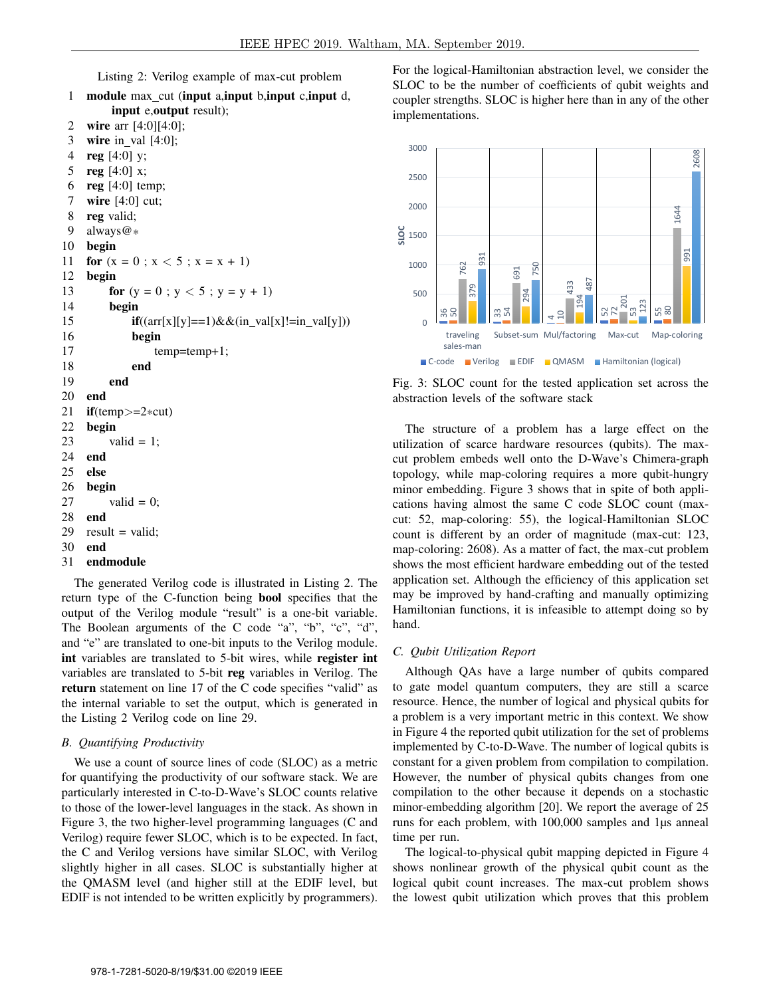Listing 2: Verilog example of max-cut problem 1 module max cut (input a,input b,input c,input d, input e,output result); 2 wire arr [4:0][4:0]; 3 **wire** in\_val [4:0]; 4 reg [4:0] y; 5 reg [4:0] x; 6 reg [4:0] temp; 7 wire [4:0] cut; 8 reg valid; 9 always $@*$ <br>10 **begin begin** 11 **for**  $(x = 0; x < 5; x = x + 1)$ 12 begin 13 **for**  $(y = 0; y < 5; y = y + 1)$ 14 begin 15 **if**(( $\ar{x}$ [y]==1)&&( $\ar{in\_val[x]}$ !=in\_val[y])) 16 begin 17 temp=temp+1; 18 end 19 end 20 end 21 if(temp>=2\*cut)<br>22 begin **begin** 23 valid = 1; 24 end 25 else 26 begin 27 valid  $= 0$ ; 28 end  $29$  result = valid; 30 end 31 endmodule

The generated Verilog code is illustrated in Listing 2. The return type of the C-function being bool specifies that the output of the Verilog module "result" is a one-bit variable. The Boolean arguments of the C code "a", "b", "c", "d", and "e" are translated to one-bit inputs to the Verilog module. int variables are translated to 5-bit wires, while register int variables are translated to 5-bit reg variables in Verilog. The return statement on line 17 of the C code specifies "valid" as the internal variable to set the output, which is generated in the Listing 2 Verilog code on line 29.

#### *B. Quantifying Productivity*

We use a count of source lines of code (SLOC) as a metric for quantifying the productivity of our software stack. We are particularly interested in C-to-D-Wave's SLOC counts relative to those of the lower-level languages in the stack. As shown in Figure 3, the two higher-level programming languages (C and Verilog) require fewer SLOC, which is to be expected. In fact, the C and Verilog versions have similar SLOC, with Verilog slightly higher in all cases. SLOC is substantially higher at the QMASM level (and higher still at the EDIF level, but EDIF is not intended to be written explicitly by programmers).

For the logical-Hamiltonian abstraction level, we consider the SLOC to be the number of coefficients of qubit weights and coupler strengths. SLOC is higher here than in any of the other implementations.



Fig. 3: SLOC count for the tested application set across the abstraction levels of the software stack

The structure of a problem has a large effect on the utilization of scarce hardware resources (qubits). The maxcut problem embeds well onto the D-Wave's Chimera-graph topology, while map-coloring requires a more qubit-hungry minor embedding. Figure 3 shows that in spite of both applications having almost the same C code SLOC count (maxcut: 52, map-coloring: 55), the logical-Hamiltonian SLOC count is different by an order of magnitude (max-cut: 123, map-coloring: 2608). As a matter of fact, the max-cut problem shows the most efficient hardware embedding out of the tested application set. Although the efficiency of this application set may be improved by hand-crafting and manually optimizing Hamiltonian functions, it is infeasible to attempt doing so by hand.

# *C. Qubit Utilization Report*

Although QAs have a large number of qubits compared to gate model quantum computers, they are still a scarce resource. Hence, the number of logical and physical qubits for a problem is a very important metric in this context. We show in Figure 4 the reported qubit utilization for the set of problems implemented by C-to-D-Wave. The number of logical qubits is constant for a given problem from compilation to compilation. However, the number of physical qubits changes from one compilation to the other because it depends on a stochastic minor-embedding algorithm [20]. We report the average of 25 runs for each problem, with 100,000 samples and 1µs anneal time per run.

The logical-to-physical qubit mapping depicted in Figure 4 shows nonlinear growth of the physical qubit count as the logical qubit count increases. The max-cut problem shows the lowest qubit utilization which proves that this problem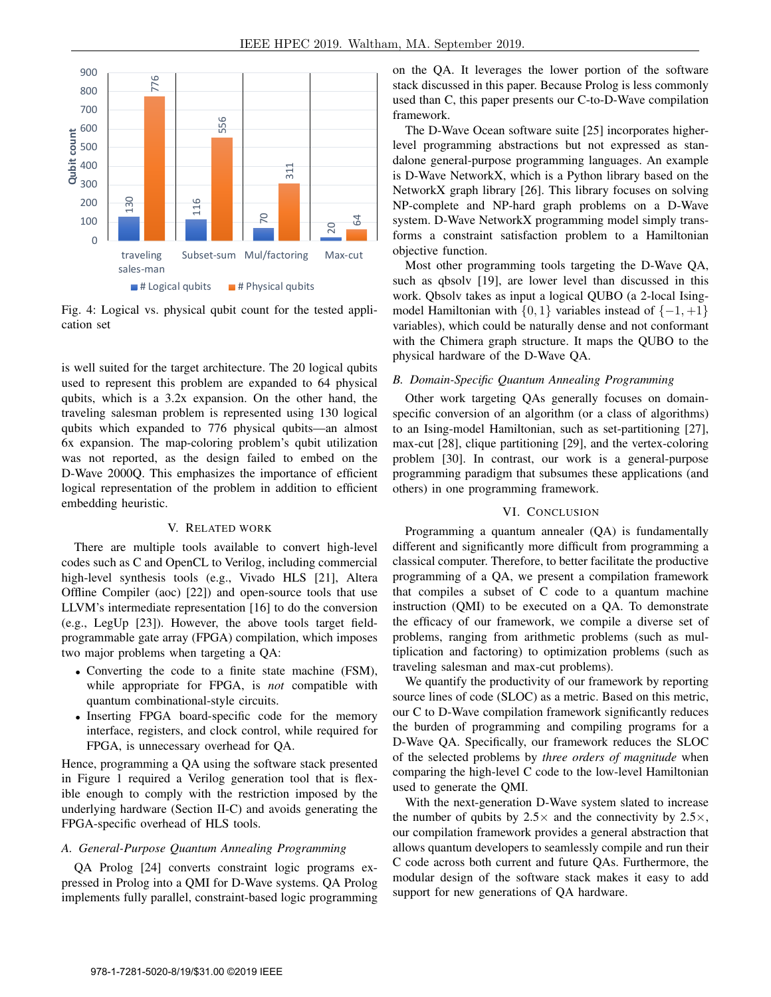

Fig. 4: Logical vs. physical qubit count for the tested application set

is well suited for the target architecture. The 20 logical qubits used to represent this problem are expanded to 64 physical qubits, which is a 3.2x expansion. On the other hand, the traveling salesman problem is represented using 130 logical qubits which expanded to 776 physical qubits—an almost 6x expansion. The map-coloring problem's qubit utilization was not reported, as the design failed to embed on the D-Wave 2000Q. This emphasizes the importance of efficient logical representation of the problem in addition to efficient embedding heuristic.

## V. RELATED WORK

There are multiple tools available to convert high-level codes such as C and OpenCL to Verilog, including commercial high-level synthesis tools (e.g., Vivado HLS [21], Altera Offline Compiler (aoc) [22]) and open-source tools that use LLVM's intermediate representation [16] to do the conversion (e.g., LegUp [23]). However, the above tools target fieldprogrammable gate array (FPGA) compilation, which imposes two major problems when targeting a QA:

- Converting the code to a finite state machine (FSM), while appropriate for FPGA, is *not* compatible with quantum combinational-style circuits.
- Inserting FPGA board-specific code for the memory interface, registers, and clock control, while required for FPGA, is unnecessary overhead for QA.

Hence, programming a QA using the software stack presented in Figure 1 required a Verilog generation tool that is flexible enough to comply with the restriction imposed by the underlying hardware (Section II-C) and avoids generating the FPGA-specific overhead of HLS tools.

### *A. General-Purpose Quantum Annealing Programming*

QA Prolog [24] converts constraint logic programs expressed in Prolog into a QMI for D-Wave systems. QA Prolog implements fully parallel, constraint-based logic programming on the QA. It leverages the lower portion of the software stack discussed in this paper. Because Prolog is less commonly used than C, this paper presents our C-to-D-Wave compilation framework.

The D-Wave Ocean software suite [25] incorporates higherlevel programming abstractions but not expressed as standalone general-purpose programming languages. An example is D-Wave NetworkX, which is a Python library based on the NetworkX graph library [26]. This library focuses on solving NP-complete and NP-hard graph problems on a D-Wave system. D-Wave NetworkX programming model simply transforms a constraint satisfaction problem to a Hamiltonian objective function.

Most other programming tools targeting the D-Wave QA, such as qbsolv [19], are lower level than discussed in this work. Qbsolv takes as input a logical QUBO (a 2-local Isingmodel Hamiltonian with  $\{0, 1\}$  variables instead of  $\{-1, +1\}$ variables), which could be naturally dense and not conformant with the Chimera graph structure. It maps the QUBO to the physical hardware of the D-Wave QA.

## *B. Domain-Specific Quantum Annealing Programming*

Other work targeting QAs generally focuses on domainspecific conversion of an algorithm (or a class of algorithms) to an Ising-model Hamiltonian, such as set-partitioning [27], max-cut [28], clique partitioning [29], and the vertex-coloring problem [30]. In contrast, our work is a general-purpose programming paradigm that subsumes these applications (and others) in one programming framework.

#### VI. CONCLUSION

Programming a quantum annealer (QA) is fundamentally different and significantly more difficult from programming a classical computer. Therefore, to better facilitate the productive programming of a QA, we present a compilation framework that compiles a subset of C code to a quantum machine instruction (QMI) to be executed on a QA. To demonstrate the efficacy of our framework, we compile a diverse set of problems, ranging from arithmetic problems (such as multiplication and factoring) to optimization problems (such as traveling salesman and max-cut problems).

We quantify the productivity of our framework by reporting source lines of code (SLOC) as a metric. Based on this metric, our C to D-Wave compilation framework significantly reduces the burden of programming and compiling programs for a D-Wave QA. Specifically, our framework reduces the SLOC of the selected problems by *three orders of magnitude* when comparing the high-level C code to the low-level Hamiltonian used to generate the QMI.

With the next-generation D-Wave system slated to increase the number of qubits by  $2.5 \times$  and the connectivity by  $2.5 \times$ , our compilation framework provides a general abstraction that allows quantum developers to seamlessly compile and run their C code across both current and future QAs. Furthermore, the modular design of the software stack makes it easy to add support for new generations of QA hardware.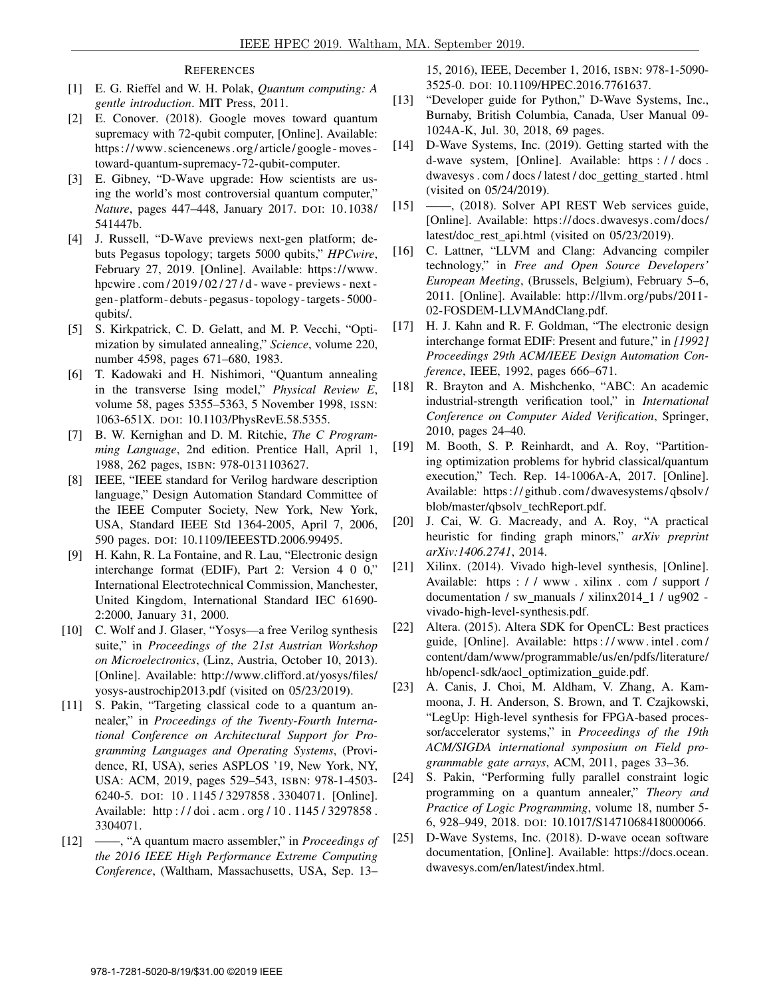#### **REFERENCES**

- [1] E. G. Rieffel and W. H. Polak, *Quantum computing: A gentle introduction*. MIT Press, 2011.
- [2] E. Conover. (2018). Google moves toward quantum supremacy with 72-qubit computer, [Online]. Available: https://www.sciencenews.org/article/google-movestoward-quantum-supremacy-72-qubit-computer.
- [3] E. Gibney, "D-Wave upgrade: How scientists are using the world's most controversial quantum computer," *Nature*, pages 447–448, January 2017. DOI: 10.1038/ 541447b.
- [4] J. Russell, "D-Wave previews next-gen platform; debuts Pegasus topology; targets 5000 qubits," *HPCwire*, February 27, 2019. [Online]. Available: https://www. hpcwire . com / 2019 / 02 / 27 / d - wave - previews - next gen- platform- debuts- pegasus-topology-targets- 5000 qubits/.
- [5] S. Kirkpatrick, C. D. Gelatt, and M. P. Vecchi, "Optimization by simulated annealing," *Science*, volume 220, number 4598, pages 671–680, 1983.
- [6] T. Kadowaki and H. Nishimori, "Quantum annealing in the transverse Ising model," *Physical Review E*, volume 58, pages 5355–5363, 5 November 1998, ISSN: 1063-651X. DOI: 10.1103/PhysRevE.58.5355.
- [7] B. W. Kernighan and D. M. Ritchie, *The C Programming Language*, 2nd edition. Prentice Hall, April 1, 1988, 262 pages, ISBN: 978-0131103627.
- [8] IEEE, "IEEE standard for Verilog hardware description language," Design Automation Standard Committee of the IEEE Computer Society, New York, New York, USA, Standard IEEE Std 1364-2005, April 7, 2006, 590 pages. DOI: 10.1109/IEEESTD.2006.99495.
- [9] H. Kahn, R. La Fontaine, and R. Lau, "Electronic design interchange format (EDIF), Part 2: Version 4 0 0," International Electrotechnical Commission, Manchester, United Kingdom, International Standard IEC 61690- 2:2000, January 31, 2000.
- [10] C. Wolf and J. Glaser, "Yosys—a free Verilog synthesis suite," in *Proceedings of the 21st Austrian Workshop on Microelectronics*, (Linz, Austria, October 10, 2013). [Online]. Available: http://www.clifford.at/yosys/files/ yosys-austrochip2013.pdf (visited on 05/23/2019).
- [11] S. Pakin, "Targeting classical code to a quantum annealer," in *Proceedings of the Twenty-Fourth International Conference on Architectural Support for Programming Languages and Operating Systems*, (Providence, RI, USA), series ASPLOS '19, New York, NY, USA: ACM, 2019, pages 529–543, ISBN: 978-1-4503- 6240-5. DOI: 10 . 1145 / 3297858 . 3304071. [Online]. Available: http://doi.acm.org/10.1145/3297858. 3304071.
- [12] ——, "A quantum macro assembler," in *Proceedings of the 2016 IEEE High Performance Extreme Computing Conference*, (Waltham, Massachusetts, USA, Sep. 13–

15, 2016), IEEE, December 1, 2016, ISBN: 978-1-5090- 3525-0. DOI: 10.1109/HPEC.2016.7761637.

- [13] "Developer guide for Python," D-Wave Systems, Inc., Burnaby, British Columbia, Canada, User Manual 09- 1024A-K, Jul. 30, 2018, 69 pages.
- [14] D-Wave Systems, Inc. (2019). Getting started with the d-wave system, [Online]. Available: https : / / docs . dwavesys . com / docs / latest / doc getting started . html (visited on 05/24/2019).
- [15] ——, (2018). Solver API REST Web services guide, [Online]. Available: https://docs.dwavesys.com/docs/ latest/doc rest api.html (visited on 05/23/2019).
- [16] C. Lattner, "LLVM and Clang: Advancing compiler technology," in *Free and Open Source Developers' European Meeting*, (Brussels, Belgium), February 5–6, 2011. [Online]. Available: http://llvm.org/pubs/2011- 02-FOSDEM-LLVMAndClang.pdf.
- [17] H. J. Kahn and R. F. Goldman, "The electronic design interchange format EDIF: Present and future," in *[1992] Proceedings 29th ACM/IEEE Design Automation Conference*, IEEE, 1992, pages 666–671.
- [18] R. Brayton and A. Mishchenko, "ABC: An academic industrial-strength verification tool," in *International Conference on Computer Aided Verification*, Springer, 2010, pages 24–40.
- [19] M. Booth, S. P. Reinhardt, and A. Roy, "Partitioning optimization problems for hybrid classical/quantum execution," Tech. Rep. 14-1006A-A, 2017. [Online]. Available: https:// github. com/ dwavesystems/ qbsolv/ blob/master/qbsolv techReport.pdf.
- [20] J. Cai, W. G. Macready, and A. Roy, "A practical heuristic for finding graph minors," *arXiv preprint arXiv:1406.2741*, 2014.
- [21] Xilinx. (2014). Vivado high-level synthesis, [Online]. Available: https : / / www . xilinx . com / support / documentation / sw manuals / xilinx2014 1 / ug902 vivado-high-level-synthesis.pdf.
- [22] Altera. (2015). Altera SDK for OpenCL: Best practices guide, [Online]. Available: https : / / www. intel . com / content/dam/www/programmable/us/en/pdfs/literature/ hb/opencl-sdk/aocl\_optimization\_guide.pdf.
- [23] A. Canis, J. Choi, M. Aldham, V. Zhang, A. Kammoona, J. H. Anderson, S. Brown, and T. Czajkowski, "LegUp: High-level synthesis for FPGA-based processor/accelerator systems," in *Proceedings of the 19th ACM/SIGDA international symposium on Field programmable gate arrays*, ACM, 2011, pages 33–36.
- [24] S. Pakin, "Performing fully parallel constraint logic programming on a quantum annealer," *Theory and Practice of Logic Programming*, volume 18, number 5- 6, 928–949, 2018. DOI: 10.1017/S1471068418000066.
- [25] D-Wave Systems, Inc. (2018). D-wave ocean software documentation, [Online]. Available: https://docs.ocean. dwavesys.com/en/latest/index.html.